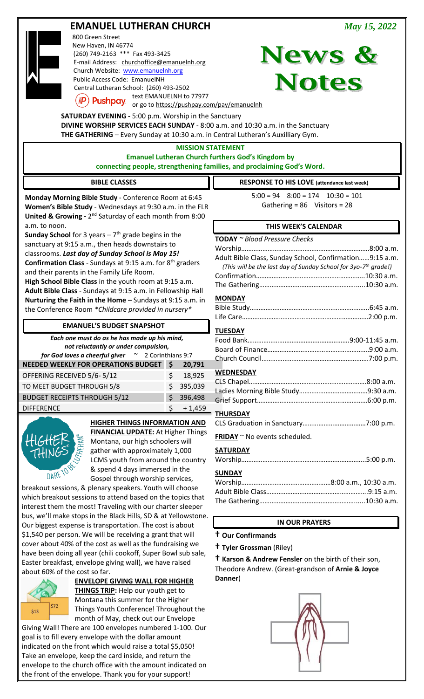|                                                                                                                                                                                                                                                                                                                                                                                                                                                                                                                                                                                                                                  | <b>EMANUEL LUTHERAN CHURCH</b>                                                                                                                                                                                                                                |    |                                                                                                                                                                                          |                                                                                      |  |
|----------------------------------------------------------------------------------------------------------------------------------------------------------------------------------------------------------------------------------------------------------------------------------------------------------------------------------------------------------------------------------------------------------------------------------------------------------------------------------------------------------------------------------------------------------------------------------------------------------------------------------|---------------------------------------------------------------------------------------------------------------------------------------------------------------------------------------------------------------------------------------------------------------|----|------------------------------------------------------------------------------------------------------------------------------------------------------------------------------------------|--------------------------------------------------------------------------------------|--|
| May 15, 2022<br>800 Green Street<br>New Haven, IN 46774<br><b>News &amp;</b><br>(260) 749-2163 *** Fax 493-3425<br>E-mail Address: churchoffice@emanuelnh.org<br><b>Notes</b><br>Church Website: www.emanuelnh.org<br>Public Access Code: EmanuelNH<br>Central Lutheran School: (260) 493-2502<br>text EMANUELNH to 77977<br><b>Pushpay</b><br>or go to https://pushpay.com/pay/emanuelnh<br><b>SATURDAY EVENING - 5:00 p.m. Worship in the Sanctuary</b><br>DIVINE WORSHIP SERVICES EACH SUNDAY - 8:00 a.m. and 10:30 a.m. in the Sanctuary<br>THE GATHERING - Every Sunday at 10:30 a.m. in Central Lutheran's Auxilliary Gym. |                                                                                                                                                                                                                                                               |    |                                                                                                                                                                                          |                                                                                      |  |
| <b>MISSION STATEMENT</b><br><b>Emanuel Lutheran Church furthers God's Kingdom by</b>                                                                                                                                                                                                                                                                                                                                                                                                                                                                                                                                             |                                                                                                                                                                                                                                                               |    |                                                                                                                                                                                          |                                                                                      |  |
| connecting people, strengthening families, and proclaiming God's Word.                                                                                                                                                                                                                                                                                                                                                                                                                                                                                                                                                           |                                                                                                                                                                                                                                                               |    |                                                                                                                                                                                          |                                                                                      |  |
|                                                                                                                                                                                                                                                                                                                                                                                                                                                                                                                                                                                                                                  | <b>BIBLE CLASSES</b>                                                                                                                                                                                                                                          |    |                                                                                                                                                                                          | <b>RESPONSE TO HIS LOVE</b> (attendance last week)                                   |  |
| Monday Morning Bible Study - Conference Room at 6:45<br>Women's Bible Study - Wednesdays at 9:30 a.m. in the FLR<br>United & Growing - 2 <sup>nd</sup> Saturday of each month from 8:00                                                                                                                                                                                                                                                                                                                                                                                                                                          |                                                                                                                                                                                                                                                               |    |                                                                                                                                                                                          | $5:00 = 94$ $8:00 = 174$ $10:30 = 101$<br>Gathering = 86 Visitors = 28               |  |
| a.m. to noon.                                                                                                                                                                                                                                                                                                                                                                                                                                                                                                                                                                                                                    |                                                                                                                                                                                                                                                               |    |                                                                                                                                                                                          | THIS WEEK'S CALENDAR                                                                 |  |
| <b>Sunday School</b> for 3 years $-7$ <sup>th</sup> grade begins in the<br>sanctuary at 9:15 a.m., then heads downstairs to<br>classrooms. Last day of Sunday School is May 15!<br><b>Confirmation Class</b> - Sundays at 9:15 a.m. for 8 <sup>th</sup> graders<br>and their parents in the Family Life Room.<br>High School Bible Class in the youth room at 9:15 a.m.<br>Adult Bible Class - Sundays at 9:15 a.m. in Fellowship Hall<br>Nurturing the Faith in the Home - Sundays at 9:15 a.m. in<br>the Conference Room *Childcare provided in nursery*                                                                       |                                                                                                                                                                                                                                                               |    | TODAY ~ Blood Pressure Checks<br>Adult Bible Class, Sunday School, Confirmation9:15 a.m.<br>(This will be the last day of Sunday School for 3yo-7 <sup>th</sup> grade!)<br><b>MONDAY</b> |                                                                                      |  |
| <b>EMANUEL'S BUDGET SNAPSHOT</b>                                                                                                                                                                                                                                                                                                                                                                                                                                                                                                                                                                                                 |                                                                                                                                                                                                                                                               |    |                                                                                                                                                                                          | <b>TUESDAY</b>                                                                       |  |
| Each one must do as he has made up his mind,<br>not reluctantly or under compulsion,<br>for God loves a cheerful giver $\sim$ 2 Corinthians 9:7<br><b>NEEDED WEEKLY FOR OPERATIONS BUDGET \$</b><br>20,791<br>\$<br>OFFERING RECEIVED 5/6-5/12<br>18,925<br>TO MEET BUDGET THROUGH 5/8<br>395,039<br>\$<br>\$<br>396,498<br><b>BUDGET RECEIPTS THROUGH 5/12</b>                                                                                                                                                                                                                                                                  |                                                                                                                                                                                                                                                               |    |                                                                                                                                                                                          | <b>WEDNESDAY</b>                                                                     |  |
| <b>DIFFERENCE</b>                                                                                                                                                                                                                                                                                                                                                                                                                                                                                                                                                                                                                |                                                                                                                                                                                                                                                               | Ś. | $+1,459$                                                                                                                                                                                 |                                                                                      |  |
| HIGHER                                                                                                                                                                                                                                                                                                                                                                                                                                                                                                                                                                                                                           | HIGHER THINGS INFORMATION AND<br><b>FINANCIAL UPDATE:</b> At Higher Things<br>Montana, our high schoolers will<br>gather with approximately 1,000<br>LCMS youth from around the country<br>& spend 4 days immersed in the<br>Gospel through worship services, |    |                                                                                                                                                                                          | <b>THURSDAY</b><br>FRIDAY ~ No events scheduled.<br><b>SATURDAY</b><br><b>SUNDAY</b> |  |

breakout sessions, & plenary speakers. Youth will choose which breakout sessions to attend based on the topics that interest them the most! Traveling with our charter sleeper bus, we'll make stops in the Black Hills, SD & at Yellowstone. Our biggest expense is transportation. The cost is about \$1,540 per person. We will be receiving a grant that will cover about 40% of the cost as well as the fundraising we have been doing all year (chili cookoff, Super Bowl sub sale, Easter breakfast, envelope giving wall), we have raised about 60% of the cost so far.



**ENVELOPE GIVING WALL FOR HIGHER THINGS TRIP:** Help our youth get to Montana this summer for the Higher Things Youth Conference! Throughout the month of May, check out our Envelope

Giving Wall! There are 100 envelopes numbered 1-100. Our goal is to fill every envelope with the dollar amount indicated on the front which would raise a total \$5,050! Take an envelope, keep the card inside, and return the envelope to the church office with the amount indicated on the front of the envelope. Thank you for your support!

**IN OUR PRAYERS**

Adult Bible Class………………………………………………….9:15 a.m. The Gathering………………………………………………......10:30 a.m.

**† Our Confirmands**

**† Tyler Grossman** (Riley)

**† Karson & Andrew Fensler** on the birth of their son, Theodore Andrew. (Great-grandson of **Arnie & Joyce Danner**)